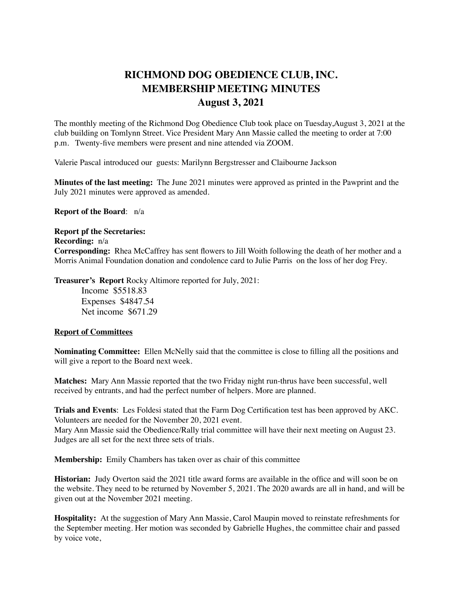## **RICHMOND DOG OBEDIENCE CLUB, INC. MEMBERSHIP MEETING MINUTES August 3, 2021**

The monthly meeting of the Richmond Dog Obedience Club took place on Tuesday,August 3, 2021 at the club building on Tomlynn Street. Vice President Mary Ann Massie called the meeting to order at 7:00 p.m. Twenty-five members were present and nine attended via ZOOM.

Valerie Pascal introduced our guests: Marilynn Bergstresser and Claibourne Jackson

**Minutes of the last meeting:** The June 2021 minutes were approved as printed in the Pawprint and the July 2021 minutes were approved as amended.

**Report of the Board**: n/a

## **Report pf the Secretaries:**

**Recording:** n/a **Corresponding:** Rhea McCaffrey has sent flowers to Jill Woith following the death of her mother and a Morris Animal Foundation donation and condolence card to Julie Parris on the loss of her dog Frey.

**Treasurer's Report** Rocky Altimore reported for July, 2021:

Income \$5518.83 Expenses \$4847.54 Net income \$671.29

## **Report of Committees**

**Nominating Committee:** Ellen McNelly said that the committee is close to filling all the positions and will give a report to the Board next week.

**Matches:** Mary Ann Massie reported that the two Friday night run-thrus have been successful, well received by entrants, and had the perfect number of helpers. More are planned.

**Trials and Events**: Les Foldesi stated that the Farm Dog Certification test has been approved by AKC. Volunteers are needed for the November 20, 2021 event.

Mary Ann Massie said the Obedience/Rally trial committee will have their next meeting on August 23. Judges are all set for the next three sets of trials.

**Membership:** Emily Chambers has taken over as chair of this committee

**Historian:** Judy Overton said the 2021 title award forms are available in the office and will soon be on the website. They need to be returned by November 5, 2021. The 2020 awards are all in hand, and will be given out at the November 2021 meeting.

**Hospitality:** At the suggestion of Mary Ann Massie, Carol Maupin moved to reinstate refreshments for the September meeting. Her motion was seconded by Gabrielle Hughes, the committee chair and passed by voice vote,